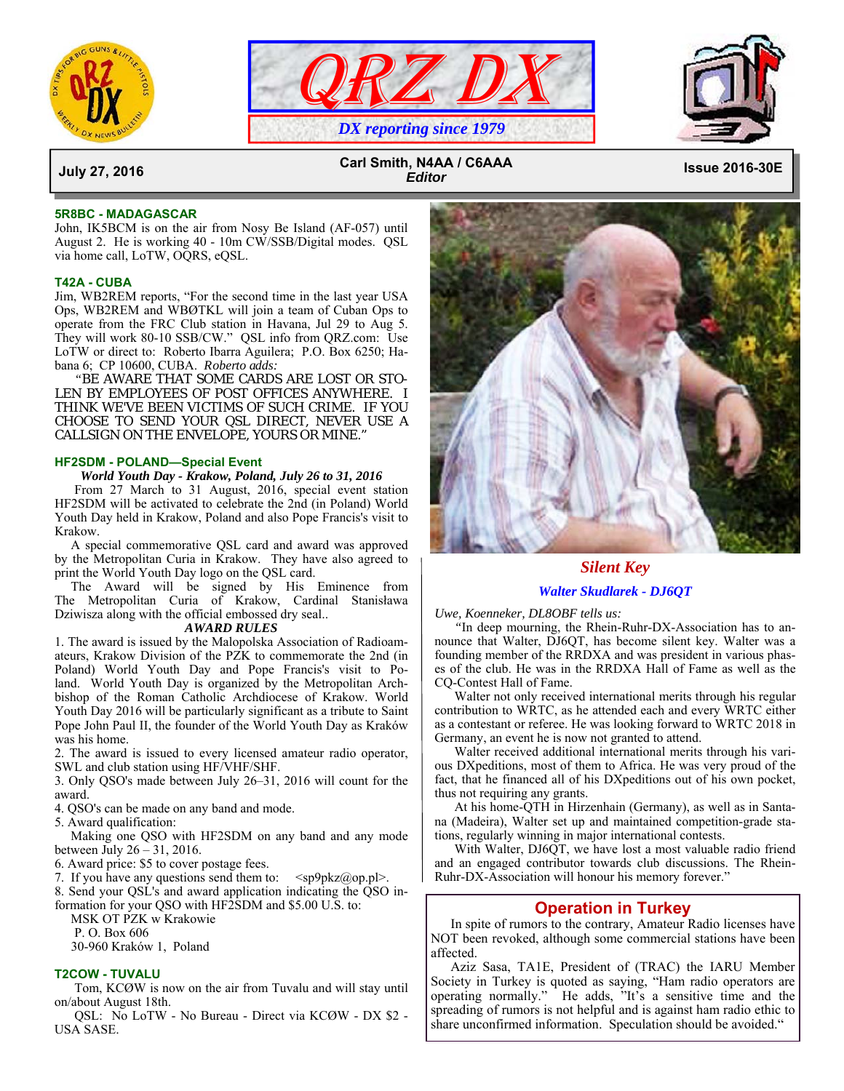





 **July 27, 2016 Issue 2016-30E Carl Smith, N4AA / C6AAA**  *Editor*

#### **5R8BC - MADAGASCAR**

John, IK5BCM is on the air from Nosy Be Island (AF-057) until August 2. He is working 40 - 10m CW/SSB/Digital modes. QSL via home call, LoTW, OQRS, eQSL.

#### **T42A - CUBA**

Jim, WB2REM reports, "For the second time in the last year USA Ops, WB2REM and WBØTKL will join a team of Cuban Ops to operate from the FRC Club station in Havana, Jul 29 to Aug 5. They will work 80-10 SSB/CW." QSL info from QRZ.com: Use LoTW or direct to: Roberto Ibarra Aguilera; P.O. Box 6250; Habana 6; CP 10600, CUBA. *Roberto adds:* 

 *"BE AWARE THAT SOME CARDS ARE LOST OR STO-LEN BY EMPLOYEES OF POST OFFICES ANYWHERE. I THINK WE'VE BEEN VICTIMS OF SUCH CRIME. IF YOU CHOOSE TO SEND YOUR QSL DIRECT, NEVER USE A CALLSIGN ON THE ENVELOPE, YOURS OR MINE."* 

#### **HF2SDM - POLAND—Special Event**

#### *World Youth Day - Krakow, Poland, July 26 to 31, 2016*

 From 27 March to 31 August, 2016, special event station HF2SDM will be activated to celebrate the 2nd (in Poland) World Youth Day held in Krakow, Poland and also Pope Francis's visit to Krakow.

 A special commemorative QSL card and award was approved by the Metropolitan Curia in Krakow. They have also agreed to print the World Youth Day logo on the QSL card.

 The Award will be signed by His Eminence from The Metropolitan Curia of Krakow, Cardinal Stanisława Dziwisza along with the official embossed dry seal..

#### *AWARD RULES*

1. The award is issued by the Malopolska Association of Radioamateurs, Krakow Division of the PZK to commemorate the 2nd (in Poland) World Youth Day and Pope Francis's visit to Poland. World Youth Day is organized by the Metropolitan Archbishop of the Roman Catholic Archdiocese of Krakow. World Youth Day 2016 will be particularly significant as a tribute to Saint Pope John Paul II, the founder of the World Youth Day as Kraków was his home.

2. The award is issued to every licensed amateur radio operator, SWL and club station using HF/VHF/SHF.

3. Only QSO's made between July 26–31, 2016 will count for the award.

4. QSO's can be made on any band and mode.

5. Award qualification:

 Making one QSO with HF2SDM on any band and any mode between July 26 – 31, 2016.

6. Award price: \$5 to cover postage fees.

7. If you have any questions send them to:  $\langle sp9pkz@op.pl \rangle$ .

8. Send your QSL's and award application indicating the QSO information for your QSO with HF2SDM and \$5.00 U.S. to:

MSK OT PZK w Krakowie

P. O. Box 606

30-960 Kraków 1, Poland

#### **T2COW - TUVALU**

Tom, KCØW is now on the air from Tuvalu and will stay until on/about August 18th.

 QSL: No LoTW - No Bureau - Direct via KCØW - DX \$2 - USA SASE.



## *Silent Key*

#### *Walter Skudlarek - DJ6QT*

*Uwe, Koenneker, DL8OBF tells us:* 

 *"*In deep mourning, the Rhein-Ruhr-DX-Association has to announce that Walter, DJ6QT, has become silent key. Walter was a founding member of the RRDXA and was president in various phases of the club. He was in the RRDXA Hall of Fame as well as the CQ-Contest Hall of Fame.

 Walter not only received international merits through his regular contribution to WRTC, as he attended each and every WRTC either as a contestant or referee. He was looking forward to WRTC 2018 in Germany, an event he is now not granted to attend.

 Walter received additional international merits through his various DXpeditions, most of them to Africa. He was very proud of the fact, that he financed all of his DXpeditions out of his own pocket, thus not requiring any grants.

 At his home-QTH in Hirzenhain (Germany), as well as in Santana (Madeira), Walter set up and maintained competition-grade stations, regularly winning in major international contests.

 With Walter, DJ6QT, we have lost a most valuable radio friend and an engaged contributor towards club discussions. The Rhein-Ruhr-DX-Association will honour his memory forever."

## **Operation in Turkey**

In spite of rumors to the contrary, Amateur Radio licenses have NOT been revoked, although some commercial stations have been affected.

 Aziz Sasa, TA1E, President of (TRAC) the IARU Member Society in Turkey is quoted as saying, "Ham radio operators are operating normally." He adds, "It's a sensitive time and the spreading of rumors is not helpful and is against ham radio ethic to share unconfirmed information. Speculation should be avoided."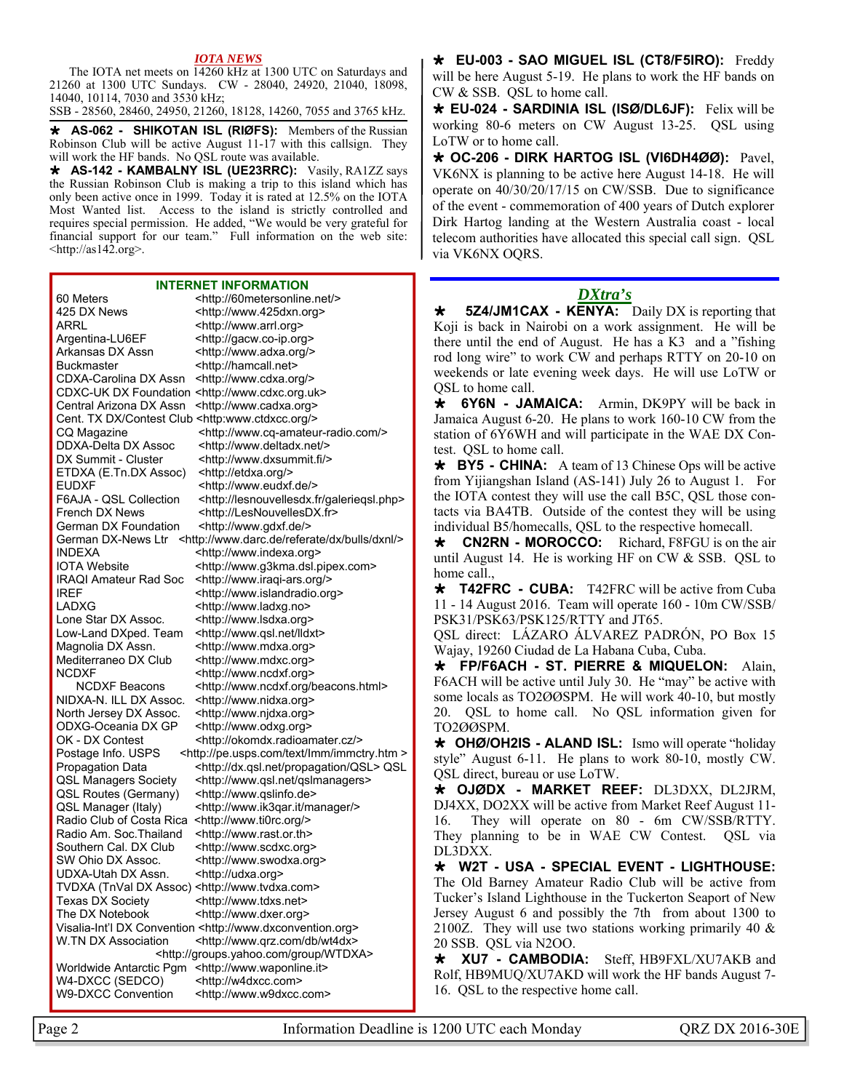#### *IOTA NEWS*

 The IOTA net meets on 14260 kHz at 1300 UTC on Saturdays and 21260 at 1300 UTC Sundays. CW - 28040, 24920, 21040, 18098, 14040, 10114, 7030 and 3530 kHz;

SSB - 28560, 28460, 24950, 21260, 18128, 14260, 7055 and 3765 kHz.

  **AS-062 - SHIKOTAN ISL (RIØFS):** Members of the Russian Robinson Club will be active August 11-17 with this callsign. They will work the HF bands. No QSL route was available.

 **AS-142 - KAMBALNY ISL (UE23RRC):** Vasily, RA1ZZ says the Russian Robinson Club is making a trip to this island which has only been active once in 1999. Today it is rated at 12.5% on the IOTA Most Wanted list. Access to the island is strictly controlled and requires special permission. He added, "We would be very grateful for financial support for our team." Full information on the web site:  $\langle \text{http://as142.org>}.$ 

#### **INTERNET INFORMATION**

60 Meters <http://60metersonline.net/> 425 DX News <http://www.425dxn.org> ARRL <http://www.arrl.org><br>Argentina-LU6EF <http://gacw.co-ip.org Arkansas DX Assn <http://www.adxa.org/> Buckmaster <http://hamcall.net> CDXA-Carolina DX Assn <http://www.cdxa.org/> CDXC-UK DX Foundation <http://www.cdxc.org.uk> Central Arizona DX Assn <http://www.cadxa.org> Cent. TX DX/Contest Club <http:www.ctdxcc.org/> CQ Magazine <http://www.cq-amateur-radio.com/> DDXA-Delta DX Assoc <http://www.deltadx.net/> DX Summit - Cluster <http://www.dxsummit.fi/> ETDXA (E.Tn.DX Assoc) <http://etdxa.org/> EUDXF <http://www.eudxf.de/><br>F6AJA - QSL Collection <http://lesnouvellesdx.f French DX News <http://LesNouvellesDX.fr> German DX Foundation <http://www.qdxf.de/> German DX-News Ltr <http://www.darc.de/referate/dx/bulls/dxnl/> INDEXA <http://www.indexa.org> IOTA Website <http://www.g3kma.dsl.pipex.com><br>IRAQI Amateur Rad Soc <http://www.iraqi-ars.org/> IREF <http://www.islandradio.org> LADXG <http://www.ladxg.no> Lone Star DX Assoc. <http://www.lsdxa.org> Low-Land DXped. Team <http://www.qsl.net/lldxt> Magnolia DX Assn. <http://www.mdxa.org> Mediterraneo DX Club <http://www.mdxc.org> NCDXF <http://www.ncdxf.org> NIDXA-N. ILL DX Assoc. <http://www.nidxa.org> North Jersey DX Assoc. < http://www.njdxa.org> ODXG-Oceania DX GP <http://www.odxg.org> OK - DX Contest <http://okomdx.radioamater.cz/> Propagation Data <http://dx.qsl.net/propagation/QSL> QSL QSL Managers Society <http://www.qsl.net/qslmanagers><br>QSL Routes (Germany) <http://www.gslinfo.de> QSL Routes (Germany) QSL Manager (Italy) <http://www.ik3gar.it/manager/> Radio Club of Costa Rica <http://www.ti0rc.org/> Radio Am. Soc.Thailand <http://www.rast.or.th> Southern Cal. DX Club <http://www.scdxc.org> SW Ohio DX Assoc. <http://www.swodxa.org> UDXA-Utah DX Assn. <http://udxa.org> TVDXA (TnVal DX Assoc) <http://www.tvdxa.com> Texas DX Society <http://www.tdxs.net> The DX Notebook <http://www.dxer.org> Visalia-Int'l DX Convention <http://www.dxconvention.org> W.TN DX Association <http://www.qrz.com/db/wt4dx> Worldwide Antarctic Pgm <http://www.waponline.it>

<http://gacw.co-ip.org> <http://lesnouvellesdx.fr/galeriegsl.php> <http://www.iraqi-ars.org/> NCDXF Beacons <http://www.ncdxf.org/beacons.html> Postage Info. USPS <http://pe.usps.com/text/Imm/immctry.htm > <http://groups.yahoo.com/group/WTDXA> W4-DXCC (SEDCO) <http://w4dxcc.com> W9-DXCC Convention <http://www.w9dxcc.com>

 **EU-003 - SAO MIGUEL ISL (CT8/F5IRO):** Freddy will be here August 5-19. He plans to work the HF bands on CW & SSB. QSL to home call.

 **EU-024 - SARDINIA ISL (ISØ/DL6JF):** Felix will be working 80-6 meters on CW August 13-25. QSL using LoTW or to home call.

 **OC-206 - DIRK HARTOG ISL (VI6DH4ØØ):** Pavel, VK6NX is planning to be active here August 14-18. He will operate on 40/30/20/17/15 on CW/SSB. Due to significance of the event - commemoration of 400 years of Dutch explorer Dirk Hartog landing at the Western Australia coast - local telecom authorities have allocated this special call sign. QSL via VK6NX OQRS.

## *DXtra's*

 **5Z4/JM1CAX - KENYA:** Daily DX is reporting that Koji is back in Nairobi on a work assignment. He will be there until the end of August. He has a K3 and a "fishing rod long wire" to work CW and perhaps RTTY on 20-10 on weekends or late evening week days. He will use LoTW or QSL to home call.

 **6Y6N - JAMAICA:** Armin, DK9PY will be back in Jamaica August 6-20. He plans to work 160-10 CW from the station of 6Y6WH and will participate in the WAE DX Contest. QSL to home call.

 **BY5 - CHINA:** A team of 13 Chinese Ops will be active from Yijiangshan Island (AS-141) July 26 to August 1. For the IOTA contest they will use the call B5C, QSL those contacts via BA4TB. Outside of the contest they will be using individual B5/homecalls, QSL to the respective homecall.

 **CN2RN - MOROCCO:** Richard, F8FGU is on the air until August 14. He is working HF on CW & SSB. QSL to home call.,

 **T42FRC - CUBA:** T42FRC will be active from Cuba 11 - 14 August 2016. Team will operate 160 - 10m CW/SSB/ PSK31/PSK63/PSK125/RTTY and JT65.

QSL direct: LÁZARO ÁLVAREZ PADRÓN, PO Box 15 Wajay, 19260 Ciudad de La Habana Cuba, Cuba.

 **FP/F6ACH - ST. PIERRE & MIQUELON:** Alain, F6ACH will be active until July 30. He "may" be active with some locals as TO2ØØSPM. He will work 40-10, but mostly 20. QSL to home call. No QSL information given for TO2ØØSPM.

 **OHØ/OH2IS - ALAND ISL:** Ismo will operate "holiday style" August 6-11. He plans to work 80-10, mostly CW. QSL direct, bureau or use LoTW.

 **OJØDX - MARKET REEF:** DL3DXX, DL2JRM, DJ4XX, DO2XX will be active from Market Reef August 11- 16. They will operate on 80 - 6m CW/SSB/RTTY. They planning to be in WAE CW Contest. QSL via DL3DXX.

 **W2T - USA - SPECIAL EVENT - LIGHTHOUSE:**  The Old Barney Amateur Radio Club will be active from Tucker's Island Lighthouse in the Tuckerton Seaport of New Jersey August 6 and possibly the 7th from about 1300 to 2100Z. They will use two stations working primarily 40 & 20 SSB. QSL via N2OO.

**\*** XU7 - CAMBODIA: Steff, HB9FXL/XU7AKB and Rolf, HB9MUQ/XU7AKD will work the HF bands August 7- 16. QSL to the respective home call.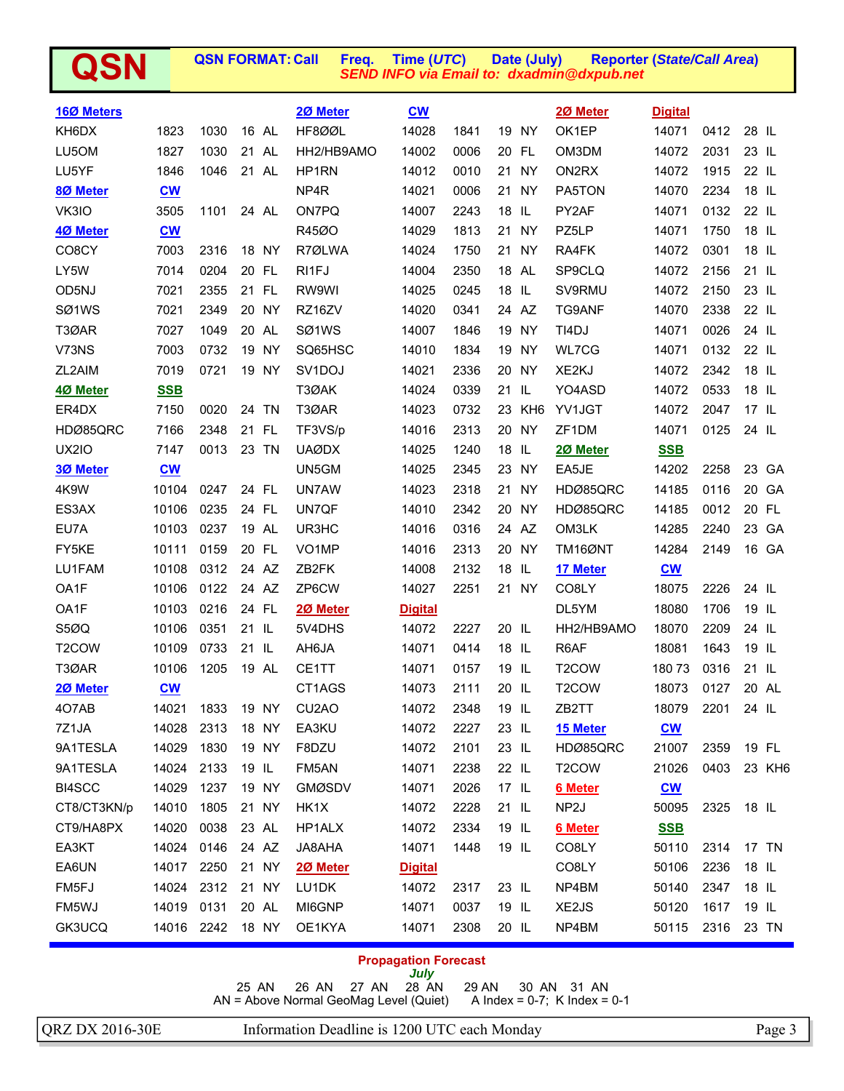| $\underline{\mathbf{CW}}$<br>2Ø Meter<br>160 Meters<br>2Ø Meter<br><b>Digital</b><br>KH6DX<br>1823<br>1030<br>16 AL<br>HF8ØØL<br>14028<br>19 NY<br>OK1EP<br>14071<br>0412<br>28 IL<br>1841<br>LU5OM<br>1827<br>1030<br>21 AL<br>14002<br>0006<br>20 FL<br>OM3DM<br>14072<br>2031<br>23 IL<br>HH2/HB9AMO<br>LU5YF<br>1046<br>21 AL<br>HP1RN<br>14012<br>0010<br>21 NY<br>ON2RX<br>14072<br>1915<br>22 IL<br>1846<br>NP4R<br>2234<br>$CM$<br>14021<br>0006<br>21 NY<br>PA5TON<br>14070<br>18 IL<br>80 Meter<br>VK3IO<br>PY2AF<br>3505<br>ON7PQ<br>14007<br>2243<br>18<br>IL.<br>14071<br>0132<br>22 IL<br>1101<br>24 AL<br>$\underline{\mathbf{C}}\underline{\mathbf{W}}$<br>R45ØO<br>14029<br>1813<br>21 NY<br>PZ5LP<br>14071<br>1750<br>18 IL<br>4Ø Meter<br>CO8CY<br>7003<br>2316<br>18 NY<br>R7ØLWA<br>14024<br>1750<br>21 NY<br>RA4FK<br>14072<br>0301<br>18 IL<br>LY5W<br>7014<br>0204<br>20 FL<br>RI1FJ<br>14004<br>2350<br>18 AL<br>SP9CLQ<br>14072<br>2156<br>21 IL<br>OD5NJ<br>7021<br>2355<br>21 FL<br>RW9WI<br>14025<br>0245<br>18 IL<br>SV9RMU<br>14072<br>2150<br>23 IL<br>SØ1WS<br>7021<br>2349<br>20 NY<br>RZ16ZV<br>14020<br>0341<br>24 AZ<br>TG9ANF<br>14070<br>2338<br>22 IL<br>T3ØAR<br>7027<br>1049<br>20 AL<br>SØ1WS<br>14007<br>19 NY<br>TI4DJ<br>14071<br>0026<br>24 IL<br>1846<br>V73NS<br>7003<br>0732<br>19 NY<br>SQ65HSC<br>14010<br>1834<br>19 NY<br>WL7CG<br>14071<br>0132<br>22 IL<br>ZL2AIM<br>7019<br>0721<br>19 NY<br>SV <sub>1</sub> DOJ<br>20 NY<br>XE2KJ<br>2342<br>18 IL<br>14021<br>2336<br>14072<br>0533<br>4Ø Meter<br><b>SSB</b><br>T3ØAK<br>14024<br>0339<br>21 IL<br>YO4ASD<br>14072<br>18 IL<br>ER4DX<br>7150<br>0020<br>24 TN<br>T3ØAR<br>14023<br>0732<br>23<br>KH6<br>YV1JGT<br>14072<br>2047<br>$17$ IL<br>ZF1DM<br>0125<br>HDØ85QRC<br>7166<br>2348<br>21 FL<br>TF3VS/p<br>14016<br>2313<br>20 NY<br>14071<br>24 IL<br><b>UX2IO</b><br>7147<br>0013<br>23 TN<br><b>UAØDX</b><br>14025<br>1240<br>18 IL<br>20 Meter<br><b>SSB</b><br>$CM$<br>UN5GM<br>14025<br>23 NY<br>EA5JE<br>14202<br><b>3Ø Meter</b><br>2345<br>2258<br>23 GA<br>4K9W<br>10104<br>0247<br>24 FL<br>UN7AW<br>14023<br>2318<br>21 NY<br>HDØ85QRC<br>14185<br>0116<br>20 GA<br>ES3AX<br>10106<br>0235<br>24 FL<br>UN7QF<br>14010<br>2342<br>20<br><b>NY</b><br>HDØ85QRC<br>0012<br>20 FL<br>14185<br>0237<br>OM3LK<br>EU7A<br>10103<br>19 AL<br>UR3HC<br>14016<br>0316<br>24 AZ<br>14285<br>2240<br>23 GA<br>FY5KE<br>10111<br>0159<br>20 FL<br>VO <sub>1</sub> MP<br>14016<br>2313<br>20 NY<br>TM16ØNT<br>14284<br>2149<br>16 GA<br>LU1FAM<br>10108<br>0312<br>24 AZ<br>ZB <sub>2</sub> FK<br>2132<br>18<br>IL.<br>14008<br>17 Meter<br>$CM$<br>ZP6CW<br>CO8LY<br>OA1F<br>10106<br>0122<br>24 AZ<br>14027<br>2251<br>21 NY<br>18075<br>2226<br>24 IL<br>OA1F<br>10103<br>0216<br>24 FL<br>DL5YM<br>18080<br>1706<br>19 IL<br>2Ø Meter<br><b>Digital</b><br>S5ØQ<br>10106<br>0351<br>21 IL<br>5V4DHS<br>14072<br>2227<br>20 IL<br>HH2/HB9AMO<br>18070<br>2209<br>24 IL<br>T <sub>2</sub> COW<br>10109<br>0733<br>21 IL<br>AH6JA<br>14071<br>0414<br>18 IL<br>R6AF<br>18081<br>1643<br>19 IL<br>1205<br>CE1TT<br>0157<br>18073<br>0316<br>T3ØAR<br>10106<br>19 AL<br>14071<br>19<br> L <br>T <sub>2</sub> COW<br>21 IL<br>CT1AGS<br>20 IL<br>$\underline{\mathbf{cw}}$<br>14073<br>2111<br>T <sub>2</sub> COW<br>18073<br>0127<br>20 AL<br>20 Meter<br>407AB<br>14021<br>1833<br>19 NY<br>CU <sub>2</sub> AO<br>14072<br>2348<br>19 IL<br>ZB2TT<br>18079<br>2201<br>24 IL<br>7Z1JA<br>14028<br>2313<br>18 NY<br>EA3KU<br>14072<br>2227<br>23 IL<br>$\underline{\mathbf{cw}}$<br>15 Meter<br>9A1TESLA<br>14029<br>1830<br>19 NY<br>F8DZU<br>2101<br>23 IL<br>HDØ85QRC<br>21007<br>2359<br>14072<br>19 FL<br>9A1TESLA<br>14024<br>2133<br>19 IL<br>FM5AN<br>2238<br>22 IL<br>21026<br>14071<br>T <sub>2</sub> COW<br>0403<br>23 KH6<br>BI4SCC<br>14029<br>1237<br>19 NY<br><b>GMØSDV</b><br>2026<br>$17$ IL<br>14071<br>6 Meter<br>$CM$<br>1805<br>HK1X<br>2228<br>21 IL<br>NP <sub>2</sub> J<br>CT8/CT3KN/p<br>14010<br>21 NY<br>14072<br>50095<br>2325<br>18 IL<br>14020<br>0038<br>23 AL<br>2334<br>19 IL<br>CT9/HA8PX<br>HP1ALX<br>14072<br><b>SSB</b><br>6 Meter<br>EA3KT<br>14024<br>0146<br>24 AZ<br>14071<br>1448<br>19 IL<br>CO8LY<br>50110<br>2314<br>JA8AHA<br>17 TN<br>EA6UN<br>14017<br>2250<br>21 NY<br>CO8LY<br>2236<br>20 Meter<br>50106<br>18 IL<br><b>Digital</b><br>FM5FJ<br>14024<br>2312<br>21 NY<br>LU1DK<br>2317<br>23 IL<br>NP4BM<br>50140<br>2347<br>18 IL<br>14072<br>FM5WJ<br>0131<br>20 AL<br>19 IL<br>1617<br>14019<br>MI6GNP<br>14071<br>0037<br>XE2JS<br>50120<br>19 IL<br>GK3UCQ<br>14016 2242<br>18 NY<br>OE1KYA<br>14071<br>2308<br>20 IL<br>50115<br>2316<br>23 TN<br>NP4BM<br><b>Propagation Forecast</b> | QSN |  | <b>QSN FORMAT: Call</b> | Freq. | Time (UTC) |  | Date (July) | <b>Reporter (State/Call Area)</b><br><b>SEND INFO via Email to: dxadmin@dxpub.net</b> |  |  |
|-------------------------------------------------------------------------------------------------------------------------------------------------------------------------------------------------------------------------------------------------------------------------------------------------------------------------------------------------------------------------------------------------------------------------------------------------------------------------------------------------------------------------------------------------------------------------------------------------------------------------------------------------------------------------------------------------------------------------------------------------------------------------------------------------------------------------------------------------------------------------------------------------------------------------------------------------------------------------------------------------------------------------------------------------------------------------------------------------------------------------------------------------------------------------------------------------------------------------------------------------------------------------------------------------------------------------------------------------------------------------------------------------------------------------------------------------------------------------------------------------------------------------------------------------------------------------------------------------------------------------------------------------------------------------------------------------------------------------------------------------------------------------------------------------------------------------------------------------------------------------------------------------------------------------------------------------------------------------------------------------------------------------------------------------------------------------------------------------------------------------------------------------------------------------------------------------------------------------------------------------------------------------------------------------------------------------------------------------------------------------------------------------------------------------------------------------------------------------------------------------------------------------------------------------------------------------------------------------------------------------------------------------------------------------------------------------------------------------------------------------------------------------------------------------------------------------------------------------------------------------------------------------------------------------------------------------------------------------------------------------------------------------------------------------------------------------------------------------------------------------------------------------------------------------------------------------------------------------------------------------------------------------------------------------------------------------------------------------------------------------------------------------------------------------------------------------------------------------------------------------------------------------------------------------------------------------------------------------------------------------------------------------------------------------------------------------------------------------------------------------------------------------------------------------------------------------------------------------------------------------------------------------------------------------------------------------------------------------------------------------------------------------------------------------------------------------------------------------------------------------------------------------------------------------------------------------------------------------------------------------------------------------------------------------------------------------------------------------------------------------------------------------------------------------------------------------------------------------------------------------------------------------------------------------------------------------------------------------------------------------------------------------------------------------------------------------------------------------------------------------------------|-----|--|-------------------------|-------|------------|--|-------------|---------------------------------------------------------------------------------------|--|--|
|                                                                                                                                                                                                                                                                                                                                                                                                                                                                                                                                                                                                                                                                                                                                                                                                                                                                                                                                                                                                                                                                                                                                                                                                                                                                                                                                                                                                                                                                                                                                                                                                                                                                                                                                                                                                                                                                                                                                                                                                                                                                                                                                                                                                                                                                                                                                                                                                                                                                                                                                                                                                                                                                                                                                                                                                                                                                                                                                                                                                                                                                                                                                                                                                                                                                                                                                                                                                                                                                                                                                                                                                                                                                                                                                                                                                                                                                                                                                                                                                                                                                                                                                                                                                                                                                                                                                                                                                                                                                                                                                                                                                                                                                                                                                                             |     |  |                         |       |            |  |             |                                                                                       |  |  |
|                                                                                                                                                                                                                                                                                                                                                                                                                                                                                                                                                                                                                                                                                                                                                                                                                                                                                                                                                                                                                                                                                                                                                                                                                                                                                                                                                                                                                                                                                                                                                                                                                                                                                                                                                                                                                                                                                                                                                                                                                                                                                                                                                                                                                                                                                                                                                                                                                                                                                                                                                                                                                                                                                                                                                                                                                                                                                                                                                                                                                                                                                                                                                                                                                                                                                                                                                                                                                                                                                                                                                                                                                                                                                                                                                                                                                                                                                                                                                                                                                                                                                                                                                                                                                                                                                                                                                                                                                                                                                                                                                                                                                                                                                                                                                             |     |  |                         |       |            |  |             |                                                                                       |  |  |
|                                                                                                                                                                                                                                                                                                                                                                                                                                                                                                                                                                                                                                                                                                                                                                                                                                                                                                                                                                                                                                                                                                                                                                                                                                                                                                                                                                                                                                                                                                                                                                                                                                                                                                                                                                                                                                                                                                                                                                                                                                                                                                                                                                                                                                                                                                                                                                                                                                                                                                                                                                                                                                                                                                                                                                                                                                                                                                                                                                                                                                                                                                                                                                                                                                                                                                                                                                                                                                                                                                                                                                                                                                                                                                                                                                                                                                                                                                                                                                                                                                                                                                                                                                                                                                                                                                                                                                                                                                                                                                                                                                                                                                                                                                                                                             |     |  |                         |       |            |  |             |                                                                                       |  |  |
|                                                                                                                                                                                                                                                                                                                                                                                                                                                                                                                                                                                                                                                                                                                                                                                                                                                                                                                                                                                                                                                                                                                                                                                                                                                                                                                                                                                                                                                                                                                                                                                                                                                                                                                                                                                                                                                                                                                                                                                                                                                                                                                                                                                                                                                                                                                                                                                                                                                                                                                                                                                                                                                                                                                                                                                                                                                                                                                                                                                                                                                                                                                                                                                                                                                                                                                                                                                                                                                                                                                                                                                                                                                                                                                                                                                                                                                                                                                                                                                                                                                                                                                                                                                                                                                                                                                                                                                                                                                                                                                                                                                                                                                                                                                                                             |     |  |                         |       |            |  |             |                                                                                       |  |  |
|                                                                                                                                                                                                                                                                                                                                                                                                                                                                                                                                                                                                                                                                                                                                                                                                                                                                                                                                                                                                                                                                                                                                                                                                                                                                                                                                                                                                                                                                                                                                                                                                                                                                                                                                                                                                                                                                                                                                                                                                                                                                                                                                                                                                                                                                                                                                                                                                                                                                                                                                                                                                                                                                                                                                                                                                                                                                                                                                                                                                                                                                                                                                                                                                                                                                                                                                                                                                                                                                                                                                                                                                                                                                                                                                                                                                                                                                                                                                                                                                                                                                                                                                                                                                                                                                                                                                                                                                                                                                                                                                                                                                                                                                                                                                                             |     |  |                         |       |            |  |             |                                                                                       |  |  |
|                                                                                                                                                                                                                                                                                                                                                                                                                                                                                                                                                                                                                                                                                                                                                                                                                                                                                                                                                                                                                                                                                                                                                                                                                                                                                                                                                                                                                                                                                                                                                                                                                                                                                                                                                                                                                                                                                                                                                                                                                                                                                                                                                                                                                                                                                                                                                                                                                                                                                                                                                                                                                                                                                                                                                                                                                                                                                                                                                                                                                                                                                                                                                                                                                                                                                                                                                                                                                                                                                                                                                                                                                                                                                                                                                                                                                                                                                                                                                                                                                                                                                                                                                                                                                                                                                                                                                                                                                                                                                                                                                                                                                                                                                                                                                             |     |  |                         |       |            |  |             |                                                                                       |  |  |
|                                                                                                                                                                                                                                                                                                                                                                                                                                                                                                                                                                                                                                                                                                                                                                                                                                                                                                                                                                                                                                                                                                                                                                                                                                                                                                                                                                                                                                                                                                                                                                                                                                                                                                                                                                                                                                                                                                                                                                                                                                                                                                                                                                                                                                                                                                                                                                                                                                                                                                                                                                                                                                                                                                                                                                                                                                                                                                                                                                                                                                                                                                                                                                                                                                                                                                                                                                                                                                                                                                                                                                                                                                                                                                                                                                                                                                                                                                                                                                                                                                                                                                                                                                                                                                                                                                                                                                                                                                                                                                                                                                                                                                                                                                                                                             |     |  |                         |       |            |  |             |                                                                                       |  |  |
|                                                                                                                                                                                                                                                                                                                                                                                                                                                                                                                                                                                                                                                                                                                                                                                                                                                                                                                                                                                                                                                                                                                                                                                                                                                                                                                                                                                                                                                                                                                                                                                                                                                                                                                                                                                                                                                                                                                                                                                                                                                                                                                                                                                                                                                                                                                                                                                                                                                                                                                                                                                                                                                                                                                                                                                                                                                                                                                                                                                                                                                                                                                                                                                                                                                                                                                                                                                                                                                                                                                                                                                                                                                                                                                                                                                                                                                                                                                                                                                                                                                                                                                                                                                                                                                                                                                                                                                                                                                                                                                                                                                                                                                                                                                                                             |     |  |                         |       |            |  |             |                                                                                       |  |  |
|                                                                                                                                                                                                                                                                                                                                                                                                                                                                                                                                                                                                                                                                                                                                                                                                                                                                                                                                                                                                                                                                                                                                                                                                                                                                                                                                                                                                                                                                                                                                                                                                                                                                                                                                                                                                                                                                                                                                                                                                                                                                                                                                                                                                                                                                                                                                                                                                                                                                                                                                                                                                                                                                                                                                                                                                                                                                                                                                                                                                                                                                                                                                                                                                                                                                                                                                                                                                                                                                                                                                                                                                                                                                                                                                                                                                                                                                                                                                                                                                                                                                                                                                                                                                                                                                                                                                                                                                                                                                                                                                                                                                                                                                                                                                                             |     |  |                         |       |            |  |             |                                                                                       |  |  |
|                                                                                                                                                                                                                                                                                                                                                                                                                                                                                                                                                                                                                                                                                                                                                                                                                                                                                                                                                                                                                                                                                                                                                                                                                                                                                                                                                                                                                                                                                                                                                                                                                                                                                                                                                                                                                                                                                                                                                                                                                                                                                                                                                                                                                                                                                                                                                                                                                                                                                                                                                                                                                                                                                                                                                                                                                                                                                                                                                                                                                                                                                                                                                                                                                                                                                                                                                                                                                                                                                                                                                                                                                                                                                                                                                                                                                                                                                                                                                                                                                                                                                                                                                                                                                                                                                                                                                                                                                                                                                                                                                                                                                                                                                                                                                             |     |  |                         |       |            |  |             |                                                                                       |  |  |
|                                                                                                                                                                                                                                                                                                                                                                                                                                                                                                                                                                                                                                                                                                                                                                                                                                                                                                                                                                                                                                                                                                                                                                                                                                                                                                                                                                                                                                                                                                                                                                                                                                                                                                                                                                                                                                                                                                                                                                                                                                                                                                                                                                                                                                                                                                                                                                                                                                                                                                                                                                                                                                                                                                                                                                                                                                                                                                                                                                                                                                                                                                                                                                                                                                                                                                                                                                                                                                                                                                                                                                                                                                                                                                                                                                                                                                                                                                                                                                                                                                                                                                                                                                                                                                                                                                                                                                                                                                                                                                                                                                                                                                                                                                                                                             |     |  |                         |       |            |  |             |                                                                                       |  |  |
|                                                                                                                                                                                                                                                                                                                                                                                                                                                                                                                                                                                                                                                                                                                                                                                                                                                                                                                                                                                                                                                                                                                                                                                                                                                                                                                                                                                                                                                                                                                                                                                                                                                                                                                                                                                                                                                                                                                                                                                                                                                                                                                                                                                                                                                                                                                                                                                                                                                                                                                                                                                                                                                                                                                                                                                                                                                                                                                                                                                                                                                                                                                                                                                                                                                                                                                                                                                                                                                                                                                                                                                                                                                                                                                                                                                                                                                                                                                                                                                                                                                                                                                                                                                                                                                                                                                                                                                                                                                                                                                                                                                                                                                                                                                                                             |     |  |                         |       |            |  |             |                                                                                       |  |  |
|                                                                                                                                                                                                                                                                                                                                                                                                                                                                                                                                                                                                                                                                                                                                                                                                                                                                                                                                                                                                                                                                                                                                                                                                                                                                                                                                                                                                                                                                                                                                                                                                                                                                                                                                                                                                                                                                                                                                                                                                                                                                                                                                                                                                                                                                                                                                                                                                                                                                                                                                                                                                                                                                                                                                                                                                                                                                                                                                                                                                                                                                                                                                                                                                                                                                                                                                                                                                                                                                                                                                                                                                                                                                                                                                                                                                                                                                                                                                                                                                                                                                                                                                                                                                                                                                                                                                                                                                                                                                                                                                                                                                                                                                                                                                                             |     |  |                         |       |            |  |             |                                                                                       |  |  |
|                                                                                                                                                                                                                                                                                                                                                                                                                                                                                                                                                                                                                                                                                                                                                                                                                                                                                                                                                                                                                                                                                                                                                                                                                                                                                                                                                                                                                                                                                                                                                                                                                                                                                                                                                                                                                                                                                                                                                                                                                                                                                                                                                                                                                                                                                                                                                                                                                                                                                                                                                                                                                                                                                                                                                                                                                                                                                                                                                                                                                                                                                                                                                                                                                                                                                                                                                                                                                                                                                                                                                                                                                                                                                                                                                                                                                                                                                                                                                                                                                                                                                                                                                                                                                                                                                                                                                                                                                                                                                                                                                                                                                                                                                                                                                             |     |  |                         |       |            |  |             |                                                                                       |  |  |
|                                                                                                                                                                                                                                                                                                                                                                                                                                                                                                                                                                                                                                                                                                                                                                                                                                                                                                                                                                                                                                                                                                                                                                                                                                                                                                                                                                                                                                                                                                                                                                                                                                                                                                                                                                                                                                                                                                                                                                                                                                                                                                                                                                                                                                                                                                                                                                                                                                                                                                                                                                                                                                                                                                                                                                                                                                                                                                                                                                                                                                                                                                                                                                                                                                                                                                                                                                                                                                                                                                                                                                                                                                                                                                                                                                                                                                                                                                                                                                                                                                                                                                                                                                                                                                                                                                                                                                                                                                                                                                                                                                                                                                                                                                                                                             |     |  |                         |       |            |  |             |                                                                                       |  |  |
|                                                                                                                                                                                                                                                                                                                                                                                                                                                                                                                                                                                                                                                                                                                                                                                                                                                                                                                                                                                                                                                                                                                                                                                                                                                                                                                                                                                                                                                                                                                                                                                                                                                                                                                                                                                                                                                                                                                                                                                                                                                                                                                                                                                                                                                                                                                                                                                                                                                                                                                                                                                                                                                                                                                                                                                                                                                                                                                                                                                                                                                                                                                                                                                                                                                                                                                                                                                                                                                                                                                                                                                                                                                                                                                                                                                                                                                                                                                                                                                                                                                                                                                                                                                                                                                                                                                                                                                                                                                                                                                                                                                                                                                                                                                                                             |     |  |                         |       |            |  |             |                                                                                       |  |  |
|                                                                                                                                                                                                                                                                                                                                                                                                                                                                                                                                                                                                                                                                                                                                                                                                                                                                                                                                                                                                                                                                                                                                                                                                                                                                                                                                                                                                                                                                                                                                                                                                                                                                                                                                                                                                                                                                                                                                                                                                                                                                                                                                                                                                                                                                                                                                                                                                                                                                                                                                                                                                                                                                                                                                                                                                                                                                                                                                                                                                                                                                                                                                                                                                                                                                                                                                                                                                                                                                                                                                                                                                                                                                                                                                                                                                                                                                                                                                                                                                                                                                                                                                                                                                                                                                                                                                                                                                                                                                                                                                                                                                                                                                                                                                                             |     |  |                         |       |            |  |             |                                                                                       |  |  |
|                                                                                                                                                                                                                                                                                                                                                                                                                                                                                                                                                                                                                                                                                                                                                                                                                                                                                                                                                                                                                                                                                                                                                                                                                                                                                                                                                                                                                                                                                                                                                                                                                                                                                                                                                                                                                                                                                                                                                                                                                                                                                                                                                                                                                                                                                                                                                                                                                                                                                                                                                                                                                                                                                                                                                                                                                                                                                                                                                                                                                                                                                                                                                                                                                                                                                                                                                                                                                                                                                                                                                                                                                                                                                                                                                                                                                                                                                                                                                                                                                                                                                                                                                                                                                                                                                                                                                                                                                                                                                                                                                                                                                                                                                                                                                             |     |  |                         |       |            |  |             |                                                                                       |  |  |
|                                                                                                                                                                                                                                                                                                                                                                                                                                                                                                                                                                                                                                                                                                                                                                                                                                                                                                                                                                                                                                                                                                                                                                                                                                                                                                                                                                                                                                                                                                                                                                                                                                                                                                                                                                                                                                                                                                                                                                                                                                                                                                                                                                                                                                                                                                                                                                                                                                                                                                                                                                                                                                                                                                                                                                                                                                                                                                                                                                                                                                                                                                                                                                                                                                                                                                                                                                                                                                                                                                                                                                                                                                                                                                                                                                                                                                                                                                                                                                                                                                                                                                                                                                                                                                                                                                                                                                                                                                                                                                                                                                                                                                                                                                                                                             |     |  |                         |       |            |  |             |                                                                                       |  |  |
|                                                                                                                                                                                                                                                                                                                                                                                                                                                                                                                                                                                                                                                                                                                                                                                                                                                                                                                                                                                                                                                                                                                                                                                                                                                                                                                                                                                                                                                                                                                                                                                                                                                                                                                                                                                                                                                                                                                                                                                                                                                                                                                                                                                                                                                                                                                                                                                                                                                                                                                                                                                                                                                                                                                                                                                                                                                                                                                                                                                                                                                                                                                                                                                                                                                                                                                                                                                                                                                                                                                                                                                                                                                                                                                                                                                                                                                                                                                                                                                                                                                                                                                                                                                                                                                                                                                                                                                                                                                                                                                                                                                                                                                                                                                                                             |     |  |                         |       |            |  |             |                                                                                       |  |  |
|                                                                                                                                                                                                                                                                                                                                                                                                                                                                                                                                                                                                                                                                                                                                                                                                                                                                                                                                                                                                                                                                                                                                                                                                                                                                                                                                                                                                                                                                                                                                                                                                                                                                                                                                                                                                                                                                                                                                                                                                                                                                                                                                                                                                                                                                                                                                                                                                                                                                                                                                                                                                                                                                                                                                                                                                                                                                                                                                                                                                                                                                                                                                                                                                                                                                                                                                                                                                                                                                                                                                                                                                                                                                                                                                                                                                                                                                                                                                                                                                                                                                                                                                                                                                                                                                                                                                                                                                                                                                                                                                                                                                                                                                                                                                                             |     |  |                         |       |            |  |             |                                                                                       |  |  |
|                                                                                                                                                                                                                                                                                                                                                                                                                                                                                                                                                                                                                                                                                                                                                                                                                                                                                                                                                                                                                                                                                                                                                                                                                                                                                                                                                                                                                                                                                                                                                                                                                                                                                                                                                                                                                                                                                                                                                                                                                                                                                                                                                                                                                                                                                                                                                                                                                                                                                                                                                                                                                                                                                                                                                                                                                                                                                                                                                                                                                                                                                                                                                                                                                                                                                                                                                                                                                                                                                                                                                                                                                                                                                                                                                                                                                                                                                                                                                                                                                                                                                                                                                                                                                                                                                                                                                                                                                                                                                                                                                                                                                                                                                                                                                             |     |  |                         |       |            |  |             |                                                                                       |  |  |
|                                                                                                                                                                                                                                                                                                                                                                                                                                                                                                                                                                                                                                                                                                                                                                                                                                                                                                                                                                                                                                                                                                                                                                                                                                                                                                                                                                                                                                                                                                                                                                                                                                                                                                                                                                                                                                                                                                                                                                                                                                                                                                                                                                                                                                                                                                                                                                                                                                                                                                                                                                                                                                                                                                                                                                                                                                                                                                                                                                                                                                                                                                                                                                                                                                                                                                                                                                                                                                                                                                                                                                                                                                                                                                                                                                                                                                                                                                                                                                                                                                                                                                                                                                                                                                                                                                                                                                                                                                                                                                                                                                                                                                                                                                                                                             |     |  |                         |       |            |  |             |                                                                                       |  |  |
|                                                                                                                                                                                                                                                                                                                                                                                                                                                                                                                                                                                                                                                                                                                                                                                                                                                                                                                                                                                                                                                                                                                                                                                                                                                                                                                                                                                                                                                                                                                                                                                                                                                                                                                                                                                                                                                                                                                                                                                                                                                                                                                                                                                                                                                                                                                                                                                                                                                                                                                                                                                                                                                                                                                                                                                                                                                                                                                                                                                                                                                                                                                                                                                                                                                                                                                                                                                                                                                                                                                                                                                                                                                                                                                                                                                                                                                                                                                                                                                                                                                                                                                                                                                                                                                                                                                                                                                                                                                                                                                                                                                                                                                                                                                                                             |     |  |                         |       |            |  |             |                                                                                       |  |  |
|                                                                                                                                                                                                                                                                                                                                                                                                                                                                                                                                                                                                                                                                                                                                                                                                                                                                                                                                                                                                                                                                                                                                                                                                                                                                                                                                                                                                                                                                                                                                                                                                                                                                                                                                                                                                                                                                                                                                                                                                                                                                                                                                                                                                                                                                                                                                                                                                                                                                                                                                                                                                                                                                                                                                                                                                                                                                                                                                                                                                                                                                                                                                                                                                                                                                                                                                                                                                                                                                                                                                                                                                                                                                                                                                                                                                                                                                                                                                                                                                                                                                                                                                                                                                                                                                                                                                                                                                                                                                                                                                                                                                                                                                                                                                                             |     |  |                         |       |            |  |             |                                                                                       |  |  |
|                                                                                                                                                                                                                                                                                                                                                                                                                                                                                                                                                                                                                                                                                                                                                                                                                                                                                                                                                                                                                                                                                                                                                                                                                                                                                                                                                                                                                                                                                                                                                                                                                                                                                                                                                                                                                                                                                                                                                                                                                                                                                                                                                                                                                                                                                                                                                                                                                                                                                                                                                                                                                                                                                                                                                                                                                                                                                                                                                                                                                                                                                                                                                                                                                                                                                                                                                                                                                                                                                                                                                                                                                                                                                                                                                                                                                                                                                                                                                                                                                                                                                                                                                                                                                                                                                                                                                                                                                                                                                                                                                                                                                                                                                                                                                             |     |  |                         |       |            |  |             |                                                                                       |  |  |
|                                                                                                                                                                                                                                                                                                                                                                                                                                                                                                                                                                                                                                                                                                                                                                                                                                                                                                                                                                                                                                                                                                                                                                                                                                                                                                                                                                                                                                                                                                                                                                                                                                                                                                                                                                                                                                                                                                                                                                                                                                                                                                                                                                                                                                                                                                                                                                                                                                                                                                                                                                                                                                                                                                                                                                                                                                                                                                                                                                                                                                                                                                                                                                                                                                                                                                                                                                                                                                                                                                                                                                                                                                                                                                                                                                                                                                                                                                                                                                                                                                                                                                                                                                                                                                                                                                                                                                                                                                                                                                                                                                                                                                                                                                                                                             |     |  |                         |       |            |  |             |                                                                                       |  |  |
|                                                                                                                                                                                                                                                                                                                                                                                                                                                                                                                                                                                                                                                                                                                                                                                                                                                                                                                                                                                                                                                                                                                                                                                                                                                                                                                                                                                                                                                                                                                                                                                                                                                                                                                                                                                                                                                                                                                                                                                                                                                                                                                                                                                                                                                                                                                                                                                                                                                                                                                                                                                                                                                                                                                                                                                                                                                                                                                                                                                                                                                                                                                                                                                                                                                                                                                                                                                                                                                                                                                                                                                                                                                                                                                                                                                                                                                                                                                                                                                                                                                                                                                                                                                                                                                                                                                                                                                                                                                                                                                                                                                                                                                                                                                                                             |     |  |                         |       |            |  |             |                                                                                       |  |  |
|                                                                                                                                                                                                                                                                                                                                                                                                                                                                                                                                                                                                                                                                                                                                                                                                                                                                                                                                                                                                                                                                                                                                                                                                                                                                                                                                                                                                                                                                                                                                                                                                                                                                                                                                                                                                                                                                                                                                                                                                                                                                                                                                                                                                                                                                                                                                                                                                                                                                                                                                                                                                                                                                                                                                                                                                                                                                                                                                                                                                                                                                                                                                                                                                                                                                                                                                                                                                                                                                                                                                                                                                                                                                                                                                                                                                                                                                                                                                                                                                                                                                                                                                                                                                                                                                                                                                                                                                                                                                                                                                                                                                                                                                                                                                                             |     |  |                         |       |            |  |             |                                                                                       |  |  |
|                                                                                                                                                                                                                                                                                                                                                                                                                                                                                                                                                                                                                                                                                                                                                                                                                                                                                                                                                                                                                                                                                                                                                                                                                                                                                                                                                                                                                                                                                                                                                                                                                                                                                                                                                                                                                                                                                                                                                                                                                                                                                                                                                                                                                                                                                                                                                                                                                                                                                                                                                                                                                                                                                                                                                                                                                                                                                                                                                                                                                                                                                                                                                                                                                                                                                                                                                                                                                                                                                                                                                                                                                                                                                                                                                                                                                                                                                                                                                                                                                                                                                                                                                                                                                                                                                                                                                                                                                                                                                                                                                                                                                                                                                                                                                             |     |  |                         |       |            |  |             |                                                                                       |  |  |
|                                                                                                                                                                                                                                                                                                                                                                                                                                                                                                                                                                                                                                                                                                                                                                                                                                                                                                                                                                                                                                                                                                                                                                                                                                                                                                                                                                                                                                                                                                                                                                                                                                                                                                                                                                                                                                                                                                                                                                                                                                                                                                                                                                                                                                                                                                                                                                                                                                                                                                                                                                                                                                                                                                                                                                                                                                                                                                                                                                                                                                                                                                                                                                                                                                                                                                                                                                                                                                                                                                                                                                                                                                                                                                                                                                                                                                                                                                                                                                                                                                                                                                                                                                                                                                                                                                                                                                                                                                                                                                                                                                                                                                                                                                                                                             |     |  |                         |       |            |  |             |                                                                                       |  |  |
|                                                                                                                                                                                                                                                                                                                                                                                                                                                                                                                                                                                                                                                                                                                                                                                                                                                                                                                                                                                                                                                                                                                                                                                                                                                                                                                                                                                                                                                                                                                                                                                                                                                                                                                                                                                                                                                                                                                                                                                                                                                                                                                                                                                                                                                                                                                                                                                                                                                                                                                                                                                                                                                                                                                                                                                                                                                                                                                                                                                                                                                                                                                                                                                                                                                                                                                                                                                                                                                                                                                                                                                                                                                                                                                                                                                                                                                                                                                                                                                                                                                                                                                                                                                                                                                                                                                                                                                                                                                                                                                                                                                                                                                                                                                                                             |     |  |                         |       |            |  |             |                                                                                       |  |  |
|                                                                                                                                                                                                                                                                                                                                                                                                                                                                                                                                                                                                                                                                                                                                                                                                                                                                                                                                                                                                                                                                                                                                                                                                                                                                                                                                                                                                                                                                                                                                                                                                                                                                                                                                                                                                                                                                                                                                                                                                                                                                                                                                                                                                                                                                                                                                                                                                                                                                                                                                                                                                                                                                                                                                                                                                                                                                                                                                                                                                                                                                                                                                                                                                                                                                                                                                                                                                                                                                                                                                                                                                                                                                                                                                                                                                                                                                                                                                                                                                                                                                                                                                                                                                                                                                                                                                                                                                                                                                                                                                                                                                                                                                                                                                                             |     |  |                         |       |            |  |             |                                                                                       |  |  |
|                                                                                                                                                                                                                                                                                                                                                                                                                                                                                                                                                                                                                                                                                                                                                                                                                                                                                                                                                                                                                                                                                                                                                                                                                                                                                                                                                                                                                                                                                                                                                                                                                                                                                                                                                                                                                                                                                                                                                                                                                                                                                                                                                                                                                                                                                                                                                                                                                                                                                                                                                                                                                                                                                                                                                                                                                                                                                                                                                                                                                                                                                                                                                                                                                                                                                                                                                                                                                                                                                                                                                                                                                                                                                                                                                                                                                                                                                                                                                                                                                                                                                                                                                                                                                                                                                                                                                                                                                                                                                                                                                                                                                                                                                                                                                             |     |  |                         |       |            |  |             |                                                                                       |  |  |
|                                                                                                                                                                                                                                                                                                                                                                                                                                                                                                                                                                                                                                                                                                                                                                                                                                                                                                                                                                                                                                                                                                                                                                                                                                                                                                                                                                                                                                                                                                                                                                                                                                                                                                                                                                                                                                                                                                                                                                                                                                                                                                                                                                                                                                                                                                                                                                                                                                                                                                                                                                                                                                                                                                                                                                                                                                                                                                                                                                                                                                                                                                                                                                                                                                                                                                                                                                                                                                                                                                                                                                                                                                                                                                                                                                                                                                                                                                                                                                                                                                                                                                                                                                                                                                                                                                                                                                                                                                                                                                                                                                                                                                                                                                                                                             |     |  |                         |       |            |  |             |                                                                                       |  |  |
|                                                                                                                                                                                                                                                                                                                                                                                                                                                                                                                                                                                                                                                                                                                                                                                                                                                                                                                                                                                                                                                                                                                                                                                                                                                                                                                                                                                                                                                                                                                                                                                                                                                                                                                                                                                                                                                                                                                                                                                                                                                                                                                                                                                                                                                                                                                                                                                                                                                                                                                                                                                                                                                                                                                                                                                                                                                                                                                                                                                                                                                                                                                                                                                                                                                                                                                                                                                                                                                                                                                                                                                                                                                                                                                                                                                                                                                                                                                                                                                                                                                                                                                                                                                                                                                                                                                                                                                                                                                                                                                                                                                                                                                                                                                                                             |     |  |                         |       |            |  |             |                                                                                       |  |  |
|                                                                                                                                                                                                                                                                                                                                                                                                                                                                                                                                                                                                                                                                                                                                                                                                                                                                                                                                                                                                                                                                                                                                                                                                                                                                                                                                                                                                                                                                                                                                                                                                                                                                                                                                                                                                                                                                                                                                                                                                                                                                                                                                                                                                                                                                                                                                                                                                                                                                                                                                                                                                                                                                                                                                                                                                                                                                                                                                                                                                                                                                                                                                                                                                                                                                                                                                                                                                                                                                                                                                                                                                                                                                                                                                                                                                                                                                                                                                                                                                                                                                                                                                                                                                                                                                                                                                                                                                                                                                                                                                                                                                                                                                                                                                                             |     |  |                         |       |            |  |             |                                                                                       |  |  |
|                                                                                                                                                                                                                                                                                                                                                                                                                                                                                                                                                                                                                                                                                                                                                                                                                                                                                                                                                                                                                                                                                                                                                                                                                                                                                                                                                                                                                                                                                                                                                                                                                                                                                                                                                                                                                                                                                                                                                                                                                                                                                                                                                                                                                                                                                                                                                                                                                                                                                                                                                                                                                                                                                                                                                                                                                                                                                                                                                                                                                                                                                                                                                                                                                                                                                                                                                                                                                                                                                                                                                                                                                                                                                                                                                                                                                                                                                                                                                                                                                                                                                                                                                                                                                                                                                                                                                                                                                                                                                                                                                                                                                                                                                                                                                             |     |  |                         |       |            |  |             |                                                                                       |  |  |
|                                                                                                                                                                                                                                                                                                                                                                                                                                                                                                                                                                                                                                                                                                                                                                                                                                                                                                                                                                                                                                                                                                                                                                                                                                                                                                                                                                                                                                                                                                                                                                                                                                                                                                                                                                                                                                                                                                                                                                                                                                                                                                                                                                                                                                                                                                                                                                                                                                                                                                                                                                                                                                                                                                                                                                                                                                                                                                                                                                                                                                                                                                                                                                                                                                                                                                                                                                                                                                                                                                                                                                                                                                                                                                                                                                                                                                                                                                                                                                                                                                                                                                                                                                                                                                                                                                                                                                                                                                                                                                                                                                                                                                                                                                                                                             |     |  |                         |       |            |  |             |                                                                                       |  |  |
|                                                                                                                                                                                                                                                                                                                                                                                                                                                                                                                                                                                                                                                                                                                                                                                                                                                                                                                                                                                                                                                                                                                                                                                                                                                                                                                                                                                                                                                                                                                                                                                                                                                                                                                                                                                                                                                                                                                                                                                                                                                                                                                                                                                                                                                                                                                                                                                                                                                                                                                                                                                                                                                                                                                                                                                                                                                                                                                                                                                                                                                                                                                                                                                                                                                                                                                                                                                                                                                                                                                                                                                                                                                                                                                                                                                                                                                                                                                                                                                                                                                                                                                                                                                                                                                                                                                                                                                                                                                                                                                                                                                                                                                                                                                                                             |     |  |                         |       |            |  |             |                                                                                       |  |  |
|                                                                                                                                                                                                                                                                                                                                                                                                                                                                                                                                                                                                                                                                                                                                                                                                                                                                                                                                                                                                                                                                                                                                                                                                                                                                                                                                                                                                                                                                                                                                                                                                                                                                                                                                                                                                                                                                                                                                                                                                                                                                                                                                                                                                                                                                                                                                                                                                                                                                                                                                                                                                                                                                                                                                                                                                                                                                                                                                                                                                                                                                                                                                                                                                                                                                                                                                                                                                                                                                                                                                                                                                                                                                                                                                                                                                                                                                                                                                                                                                                                                                                                                                                                                                                                                                                                                                                                                                                                                                                                                                                                                                                                                                                                                                                             |     |  |                         |       |            |  |             |                                                                                       |  |  |
|                                                                                                                                                                                                                                                                                                                                                                                                                                                                                                                                                                                                                                                                                                                                                                                                                                                                                                                                                                                                                                                                                                                                                                                                                                                                                                                                                                                                                                                                                                                                                                                                                                                                                                                                                                                                                                                                                                                                                                                                                                                                                                                                                                                                                                                                                                                                                                                                                                                                                                                                                                                                                                                                                                                                                                                                                                                                                                                                                                                                                                                                                                                                                                                                                                                                                                                                                                                                                                                                                                                                                                                                                                                                                                                                                                                                                                                                                                                                                                                                                                                                                                                                                                                                                                                                                                                                                                                                                                                                                                                                                                                                                                                                                                                                                             |     |  |                         |       |            |  |             |                                                                                       |  |  |

*July*  25 AN 26 AN 27 AN 28 AN 29 AN 30 AN 31 AN AN = Above Normal GeoMag Level (Quiet) A Index = 0-7; K Index = 0-1